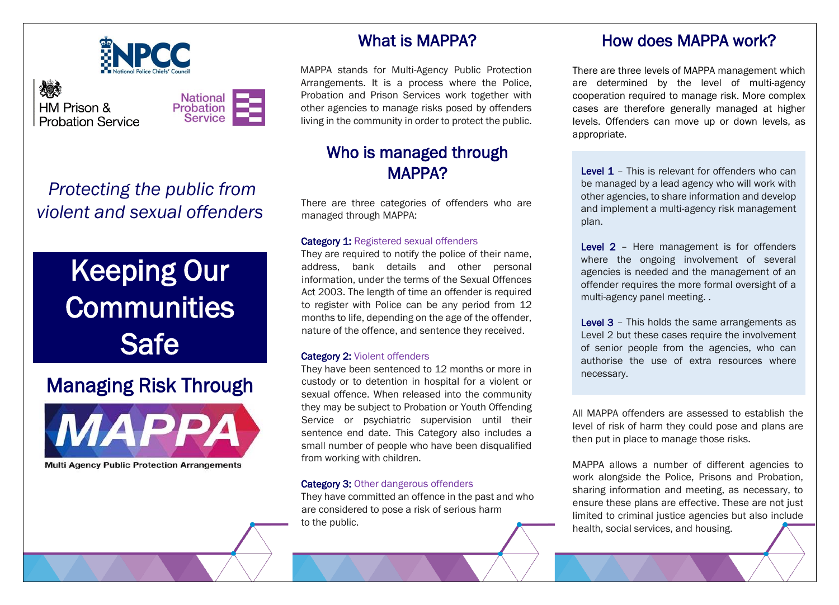

燃 HM Prison & **Probation Service** 



## *Protecting the public from violent and sexual offenders*

# Keeping Our **Communities Safe**

# Managing Risk Through



L

**Multi Agency Public Protection Arrangements** 

## What is MAPPA?

MAPPA stands for Multi-Agency Public Protection Arrangements. It is a process where the Police, Probation and Prison Services work together with other agencies to manage risks posed by offenders living in the community in order to protect the public.

## Who is managed through MAPPA?

There are three categories of offenders who are managed through MAPPA:

#### Category 1: Registered sexual offenders

They are required to notify the police of their name, address, bank details and other personal information, under the terms of the Sexual Offences Act 2003. The length of time an offender is required to register with Police can be any period from 12 months to life, depending on the age of the offender, nature of the offence, and sentence they received.

#### Category 2: Violent offenders

They have been sentenced to 12 months or more in custody or to detention in hospital for a violent or sexual offence. When released into the community they may be subject to Probation or Youth Offending Service or psychiatric supervision until their sentence end date. This Category also includes a small number of people who have been disqualified from working with children.

#### **Category 3: Other dangerous offenders**

l.

They have committed an offence in the past and who are considered to pose a risk of serious harm to the public.

#### How does MAPPA work?

There are three levels of MAPPA management which are determined by the level of multi-agency cooperation required to manage risk. More complex cases are therefore generally managed at higher levels. Offenders can move up or down levels, as appropriate.

Level 1 – This is relevant for offenders who can be managed by a lead agency who will work with other agencies, to share information and develop and implement a multi-agency risk management plan.

Level 2 - Here management is for offenders where the ongoing involvement of several agencies is needed and the management of an offender requires the more formal oversight of a multi-agency panel meeting. .

Level 3 - This holds the same arrangements as Level 2 but these cases require the involvement of senior people from the agencies, who can authorise the use of extra resources where necessary.

All MAPPA offenders are assessed to establish the level of risk of harm they could pose and plans are then put in place to manage those risks.

MAPPA allows a number of different agencies to work alongside the Police, Prisons and Probation, sharing information and meeting, as necessary, to ensure these plans are effective. These are not just limited to criminal justice agencies but also include health, social services, and housing.